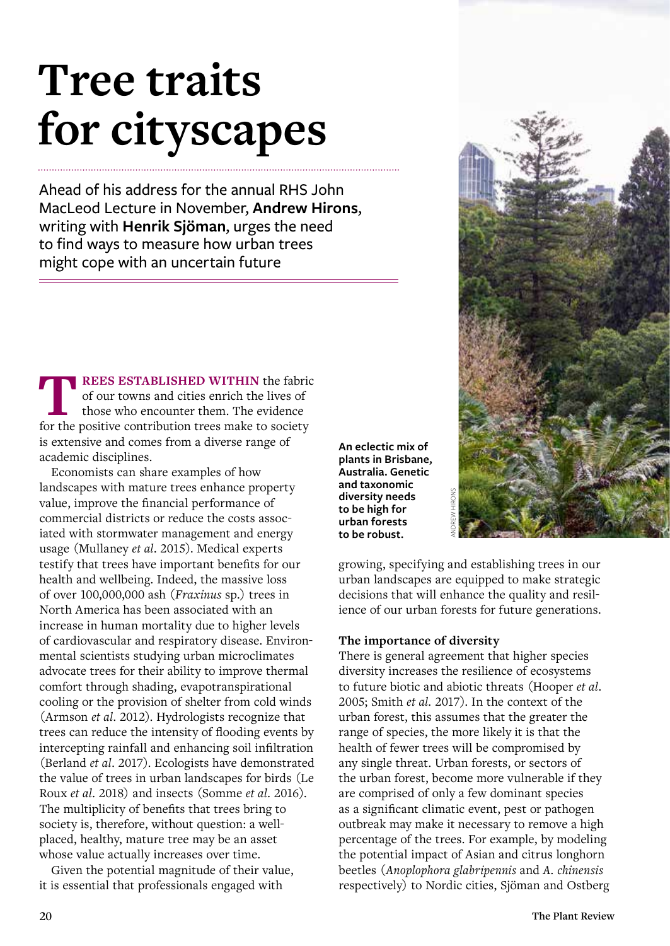# **Tree traits for cityscapes**

Ahead of his address for the annual RHS John MacLeod Lecture in November, **Andrew Hirons**, writing with **Henrik Sjöman**, urges the need to find ways to measure how urban trees might cope with an uncertain future

**TREES ESTABLISHED WITHIN** the fabric of our towns and cities enrich the lives of those who encounter them. The evidence for the positive contribution trees make to society is extensive and comes from a diverse range of academic disciplines.

Economists can share examples of how landscapes with mature trees enhance property value, improve the financial performance of commercial districts or reduce the costs associated with stormwater management and energy usage (Mullaney *et al*. 2015). Medical experts testify that trees have important benefits for our health and wellbeing. Indeed, the massive loss of over 100,000,000 ash (*Fraxinus* sp.) trees in North America has been associated with an increase in human mortality due to higher levels of cardiovascular and respiratory disease. Environmental scientists studying urban microclimates advocate trees for their ability to improve thermal comfort through shading, evapotranspirational cooling or the provision of shelter from cold winds (Armson *et al*. 2012). Hydrologists recognize that trees can reduce the intensity of flooding events by intercepting rainfall and enhancing soil infiltration (Berland *et al*. 2017). Ecologists have demonstrated the value of trees in urban landscapes for birds (Le Roux *et al*. 2018) and insects (Somme *et al*. 2016). The multiplicity of benefits that trees bring to society is, therefore, without question: a wellplaced, healthy, mature tree may be an asset whose value actually increases over time.

Given the potential magnitude of their value, it is essential that professionals engaged with

**An eclectic mix of plants in Brisbane, Australia. Genetic and taxonomic diversity needs to be high for urban forests to be robust.**



growing, specifying and establishing trees in our urban landscapes are equipped to make strategic decisions that will enhance the quality and resilience of our urban forests for future generations.

#### **The importance of diversity**

There is general agreement that higher species diversity increases the resilience of ecosystems to future biotic and abiotic threats (Hooper *et al*. 2005; Smith *et al.* 2017). In the context of the urban forest, this assumes that the greater the range of species, the more likely it is that the health of fewer trees will be compromised by any single threat. Urban forests, or sectors of the urban forest, become more vulnerable if they are comprised of only a few dominant species as a significant climatic event, pest or pathogen outbreak may make it necessary to remove a high percentage of the trees. For example, by modeling the potential impact of Asian and citrus longhorn beetles (*Anoplophora glabripennis* and *A. chinensis* diversity needs<br>
to be high for<br>
urban forests<br>
growing, specifying and establishing trees in our<br>
growing, specifying and establishing trees in our<br>
urban landscapes are equipped to make strategic<br>
decisions that will en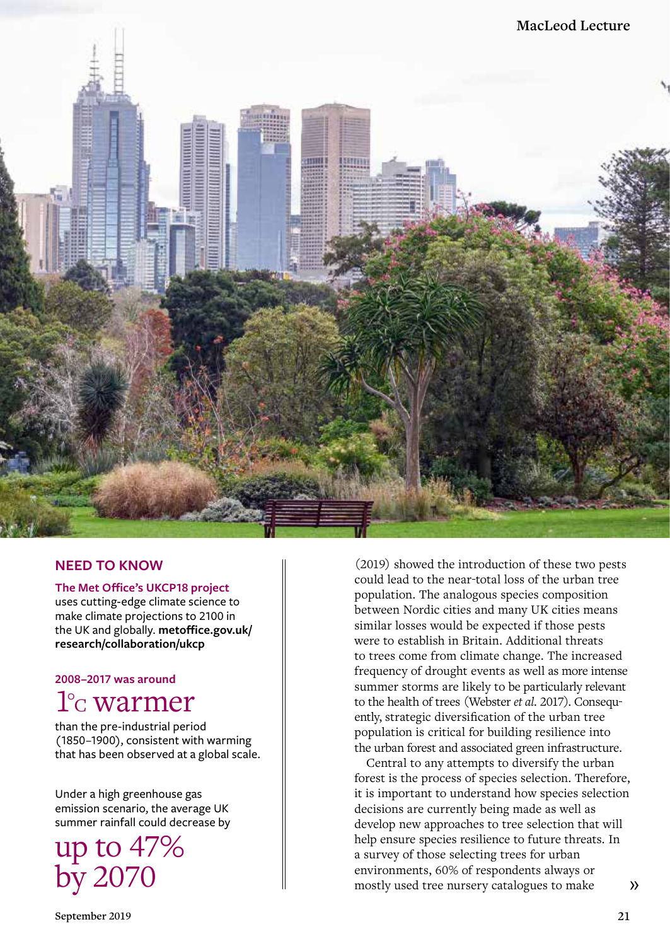

#### **NEED TO KNOW**

**The Met Office's UKCP18 project**

uses cutting-edge climate science to make climate projections to 2100 in the UK and globally. **metoffice.gov.uk/ research/collaboration/ukcp**

**2008–2017 was around**

## 1°C warmer

than the pre-industrial period (1850–1900), consistent with warming that has been observed at a global scale.

Under a high greenhouse gas emission scenario, the average UK summer rainfall could decrease by

up to 47% by 2070

(2019) showed the introduction of these two pests could lead to the near-total loss of the urban tree population. The analogous species composition between Nordic cities and many UK cities means similar losses would be expected if those pests were to establish in Britain. Additional threats to trees come from climate change. The increased frequency of drought events as well as more intense summer storms are likely to be particularly relevant to the health of trees (Webster *et al.* 2017). Consequently, strategic diversification of the urban tree population is critical for building resilience into the urban forest and associated green infrastructure.

Central to any attempts to diversify the urban forest is the process of species selection. Therefore, it is important to understand how species selection decisions are currently being made as well as develop new approaches to tree selection that will help ensure species resilience to future threats. In a survey of those selecting trees for urban environments, 60% of respondents always or mostly used tree nursery catalogues to make  $\lambda$ 

**September 2019 21**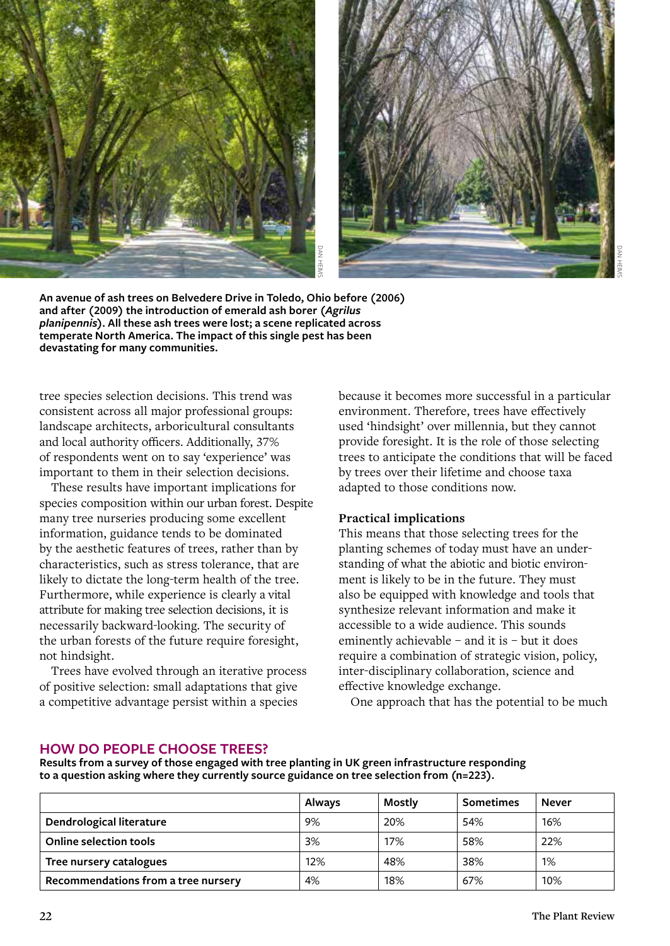



#### **Practical implications**

#### **HOW DO PEOPLE CHOOSE TREES?**

| An avenue of ash trees on Belvedere Drive in Toledo, Ohio before (2006)<br>and after (2009) the introduction of emerald ash borer ( <i>Agrilus</i><br>planipennis). All these ash trees were lost; a scene replicated across<br>temperate North America. The impact of this single pest has been<br>devastating for many communities.                                                                                                                                                                                                                                                                                                                                                                                                                                                                                                                                                                                                                                                                                                                                                                                                                                                                                                                                                                                                |        |                                                                                                                                                                                                                                                                                                                                                                                                                                                                                                                                                                                                                                                                                                                                                                                                                                                                                                                                                                                                  |                  |              |
|--------------------------------------------------------------------------------------------------------------------------------------------------------------------------------------------------------------------------------------------------------------------------------------------------------------------------------------------------------------------------------------------------------------------------------------------------------------------------------------------------------------------------------------------------------------------------------------------------------------------------------------------------------------------------------------------------------------------------------------------------------------------------------------------------------------------------------------------------------------------------------------------------------------------------------------------------------------------------------------------------------------------------------------------------------------------------------------------------------------------------------------------------------------------------------------------------------------------------------------------------------------------------------------------------------------------------------------|--------|--------------------------------------------------------------------------------------------------------------------------------------------------------------------------------------------------------------------------------------------------------------------------------------------------------------------------------------------------------------------------------------------------------------------------------------------------------------------------------------------------------------------------------------------------------------------------------------------------------------------------------------------------------------------------------------------------------------------------------------------------------------------------------------------------------------------------------------------------------------------------------------------------------------------------------------------------------------------------------------------------|------------------|--------------|
| tree species selection decisions. This trend was<br>consistent across all major professional groups:<br>landscape architects, arboricultural consultants<br>and local authority officers. Additionally, 37%<br>of respondents went on to say 'experience' was<br>important to them in their selection decisions.<br>These results have important implications for<br>species composition within our urban forest. Despite<br>many tree nurseries producing some excellent<br>information, guidance tends to be dominated<br>by the aesthetic features of trees, rather than by<br>characteristics, such as stress tolerance, that are<br>likely to dictate the long-term health of the tree.<br>Furthermore, while experience is clearly a vital<br>attribute for making tree selection decisions, it is<br>necessarily backward-looking. The security of<br>the urban forests of the future require foresight,<br>not hindsight.<br>Trees have evolved through an iterative process<br>of positive selection: small adaptations that give<br>a competitive advantage persist within a species<br><b>HOW DO PEOPLE CHOOSE TREES?</b><br>Results from a survey of those engaged with tree planting in UK green infrastructure responding<br>to a question asking where they currently source guidance on tree selection from (n=223). |        | because it becomes more successful in a particular<br>environment. Therefore, trees have effectively<br>used 'hindsight' over millennia, but they cannot<br>provide foresight. It is the role of those selecting<br>trees to anticipate the conditions that will be faced<br>by trees over their lifetime and choose taxa<br>adapted to those conditions now.<br><b>Practical implications</b><br>This means that those selecting trees for the<br>planting schemes of today must have an under-<br>standing of what the abiotic and biotic environ-<br>ment is likely to be in the future. They must<br>also be equipped with knowledge and tools that<br>synthesize relevant information and make it<br>accessible to a wide audience. This sounds<br>eminently achievable - and it is - but it does<br>require a combination of strategic vision, policy,<br>inter-disciplinary collaboration, science and<br>effective knowledge exchange.<br>One approach that has the potential to be much |                  |              |
|                                                                                                                                                                                                                                                                                                                                                                                                                                                                                                                                                                                                                                                                                                                                                                                                                                                                                                                                                                                                                                                                                                                                                                                                                                                                                                                                      | Always | Mostly                                                                                                                                                                                                                                                                                                                                                                                                                                                                                                                                                                                                                                                                                                                                                                                                                                                                                                                                                                                           | <b>Sometimes</b> | <b>Never</b> |
| Dendrological literature                                                                                                                                                                                                                                                                                                                                                                                                                                                                                                                                                                                                                                                                                                                                                                                                                                                                                                                                                                                                                                                                                                                                                                                                                                                                                                             | 9%     | 20%                                                                                                                                                                                                                                                                                                                                                                                                                                                                                                                                                                                                                                                                                                                                                                                                                                                                                                                                                                                              | 54%              | 16%          |
| <b>Online selection tools</b>                                                                                                                                                                                                                                                                                                                                                                                                                                                                                                                                                                                                                                                                                                                                                                                                                                                                                                                                                                                                                                                                                                                                                                                                                                                                                                        | 3%     | 17%                                                                                                                                                                                                                                                                                                                                                                                                                                                                                                                                                                                                                                                                                                                                                                                                                                                                                                                                                                                              | 58%              | 22%          |
| Tree nursery catalogues                                                                                                                                                                                                                                                                                                                                                                                                                                                                                                                                                                                                                                                                                                                                                                                                                                                                                                                                                                                                                                                                                                                                                                                                                                                                                                              | 12%    | 48%                                                                                                                                                                                                                                                                                                                                                                                                                                                                                                                                                                                                                                                                                                                                                                                                                                                                                                                                                                                              | 38%              | 1%           |
| Recommendations from a tree nursery                                                                                                                                                                                                                                                                                                                                                                                                                                                                                                                                                                                                                                                                                                                                                                                                                                                                                                                                                                                                                                                                                                                                                                                                                                                                                                  | 4%     | 18%                                                                                                                                                                                                                                                                                                                                                                                                                                                                                                                                                                                                                                                                                                                                                                                                                                                                                                                                                                                              | 67%              | 10%          |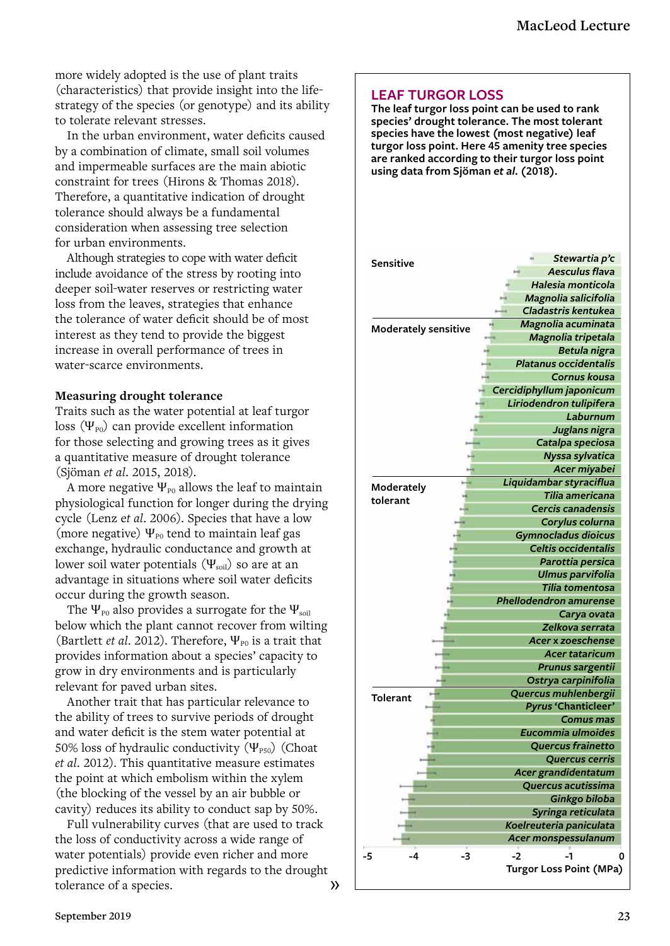more widely adopted is the use of plant traits (characteristics) that provide insight into the lifestrategy of the species (or genotype) and its ability to tolerate relevant stresses.

In the urban environment, water deficits caused by a combination of climate, small soil volumes and impermeable surfaces are the main abiotic constraint for trees (Hirons & Thomas 2018). Therefore, a quantitative indication of drought tolerance should always be a fundamental consideration when assessing tree selection for urban environments.

Although strategies to cope with water deficit include avoidance of the stress by rooting into deeper soil-water reserves or restricting water loss from the leaves, strategies that enhance the tolerance of water deficit should be of most interest as they tend to provide the biggest increase in overall performance of trees in water-scarce environments.

#### **Measuring drought tolerance**

Traits such as the water potential at leaf turgor loss  $(\Psi_{\text{P0}})$  can provide excellent information for those selecting and growing trees as it gives a quantitative measure of drought tolerance (Sjöman *et al*. 2015, 2018).

A more negative  $\Psi_{\text{P0}}$  allows the leaf to maintain physiological function for longer during the drying cycle (Lenz e*t al*. 2006). Species that have a low (more negative)  $\Psi_{\text{P0}}$  tend to maintain leaf gas exchange, hydraulic conductance and growth at lower soil water potentials  $(\Psi_{\text{soil}})$  so are at an advantage in situations where soil water deficits occur during the growth season.

The  $\Psi_{\text{po}}$  also provides a surrogate for the  $\Psi_{\text{soil}}$ below which the plant cannot recover from wilting (Bartlett *et al.* 2012). Therefore, Ψ<sub>P0</sub> is a trait that provides information about a species' capacity to grow in dry environments and is particularly relevant for paved urban sites.

Another trait that has particular relevance to the ability of trees to survive periods of drought and water deficit is the stem water potential at 50% loss of hydraulic conductivity  $(\Psi_{PS0})$  (Choat *et al*. 2012). This quantitative measure estimates the point at which embolism within the xylem (the blocking of the vessel by an air bubble or cavity) reduces its ability to conduct sap by 50%.

Full vulnerability curves (that are used to track the loss of conductivity across a wide range of water potentials) provide even richer and more predictive information with regards to the drought tolerance of a species.  $\rightarrow$ 

#### **LEAF TURGOR LOSS**

**The leaf turgor loss point can be used to rank species' drought tolerance. The most tolerant species have the lowest (most negative) leaf turgor loss point. Here 45 amenity tree species are ranked according to their turgor loss point using data from Sjöman** *et al***. (2018).** 

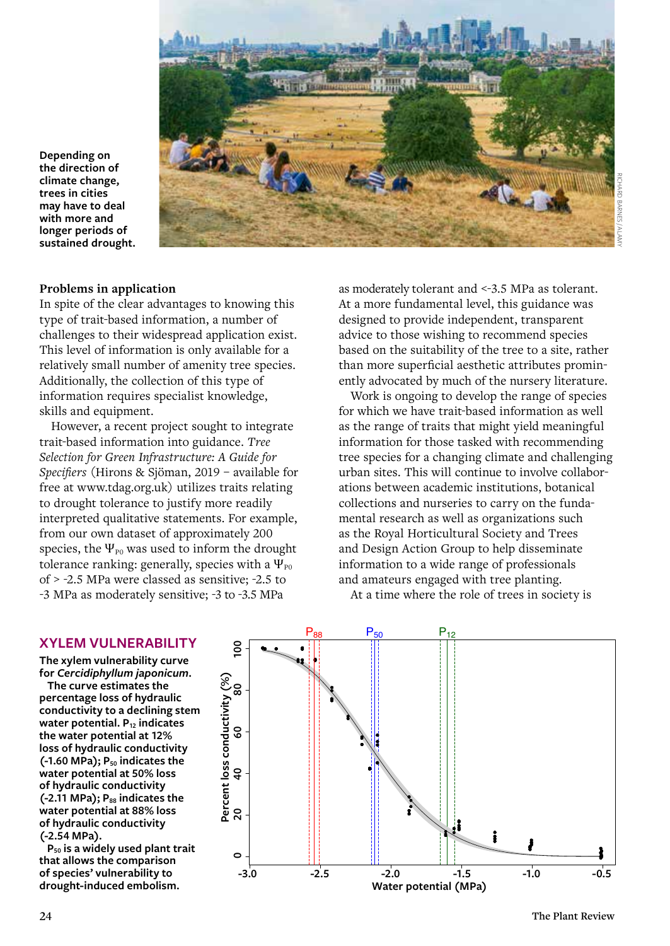

**Depending on the direction of climate change, trees in cities may have to deal with more and longer periods of sustained drought.** 

#### **Problems in application**

In spite of the clear advantages to knowing this type of trait-based information, a number of challenges to their widespread application exist. This level of information is only available for a relatively small number of amenity tree species. Additionally, the collection of this type of information requires specialist knowledge, skills and equipment.

However, a recent project sought to integrate trait-based information into guidance. *Tree Selection for Green Infrastructure: A Guide for Specifiers* (Hirons & Sjöman, 2019 – available for free at www.tdag.org.uk) utilizes traits relating to drought tolerance to justify more readily interpreted qualitative statements. For example, from our own dataset of approximately 200 species, the  $\Psi_{\text{P0}}$  was used to inform the drought tolerance ranking: generally, species with a  $\Psi_{\text{P0}}$ of > -2.5 MPa were classed as sensitive; -2.5 to -3 MPa as moderately sensitive; -3 to -3.5 MPa

as moderately tolerant and <-3.5 MPa as tolerant. At a more fundamental level, this guidance was designed to provide independent, transparent advice to those wishing to recommend species based on the suitability of the tree to a site, rather than more superficial aesthetic attributes prominently advocated by much of the nursery literature.

Work is ongoing to develop the range of species for which we have trait-based information as well as the range of traits that might yield meaningful information for those tasked with recommending tree species for a changing climate and challenging urban sites. This will continue to involve collaborations between academic institutions, botanical collections and nurseries to carry on the fundamental research as well as organizations such as the Royal Horticultural Society and Trees and Design Action Group to help disseminate information to a wide range of professionals and amateurs engaged with tree planting.

At a time where the role of trees in society is

#### **XYLEM VULNERABILITY**

**The xylem vulnerability curve for** *Cercidiphyllum japonicum***.**

**The curve estimates the percentage loss of hydraulic conductivity to a declining stem water potential. P12 indicates the water potential at 12% loss of hydraulic conductivity**  (-1.60 MPa); P<sub>50</sub> indicates the **water potential at 50% loss of hydraulic conductivity**  (-2.11 MPa); P<sub>88</sub> indicates the **water potential at 88% loss of hydraulic conductivity (-2.54 MPa).**

**P50 is a widely used plant trait that allows the comparison of species' vulnerability to drought-induced embolism.**